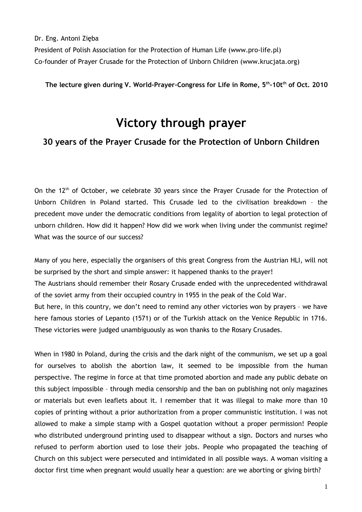Dr. Eng. Antoni Zięba

President of Polish Association for the Protection of Human Life (www.pro-life.pl) Co-founder of Prayer Crusade for the Protection of Unborn Children (www.krucjata.org)

**The lecture given during V. World-Prayer-Congress for Life in Rome, 5th-10tth of Oct. 2010**

# **Victory through prayer**

### **30 years of the Prayer Crusade for the Protection of Unborn Children**

On the 12<sup>th</sup> of October, we celebrate 30 years since the Prayer Crusade for the Protection of Unborn Children in Poland started. This Crusade led to the civilisation breakdown – the precedent move under the democratic conditions from legality of abortion to legal protection of unborn children. How did it happen? How did we work when living under the communist regime? What was the source of our success?

Many of you here, especially the organisers of this great Congress from the Austrian HLI, will not be surprised by the short and simple answer: it happened thanks to the prayer! The Austrians should remember their Rosary Crusade ended with the unprecedented withdrawal of the soviet army from their occupied country in 1955 in the peak of the Cold War. But here, in this country, we don't need to remind any other victories won by prayers – we have here famous stories of Lepanto (1571) or of the Turkish attack on the Venice Republic in 1716. These victories were judged unambiguously as won thanks to the Rosary Crusades.

When in 1980 in Poland, during the crisis and the dark night of the communism, we set up a goal for ourselves to abolish the abortion law, it seemed to be impossible from the human perspective. The regime in force at that time promoted abortion and made any public debate on this subject impossible – through media censorship and the ban on publishing not only magazines or materials but even leaflets about it. I remember that it was illegal to make more than 10 copies of printing without a prior authorization from a proper communistic institution. I was not allowed to make a simple stamp with a Gospel quotation without a proper permission! People who distributed underground printing used to disappear without a sign. Doctors and nurses who refused to perform abortion used to lose their jobs. People who propagated the teaching of Church on this subject were persecuted and intimidated in all possible ways. A woman visiting a doctor first time when pregnant would usually hear a question: are we aborting or giving birth?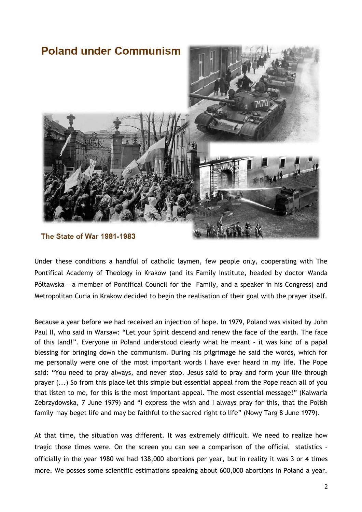

### The State of War 1981-1983

Under these conditions a handful of catholic laymen, few people only, cooperating with The Pontifical Academy of Theology in Krakow (and its Family Institute, headed by doctor Wanda Półtawska – a member of Pontifical Council for the Family, and a speaker in his Congress) and Metropolitan Curia in Krakow decided to begin the realisation of their goal with the prayer itself.

Because a year before we had received an injection of hope. In 1979, Poland was visited by John Paul II, who said in Warsaw: "Let your Spirit descend and renew the face of the earth. The face of this land!"*.* Everyone in Poland understood clearly what he meant – it was kind of a papal blessing for bringing down the communism. During his pilgrimage he said the words, which for me personally were one of the most important words I have ever heard in my life. The Pope said: "You need to pray always, and never stop. Jesus said to pray and form your life through prayer (...) So from this place let this simple but essential appeal from the Pope reach all of you that listen to me, for this is the most important appeal. The most essential message!" (Kalwaria Zebrzydowska, 7 June 1979) and "I express the wish and I always pray for this, that the Polish family may beget life and may be faithful to the sacred right to life" (Nowy Targ 8 June 1979).

At that time, the situation was different. It was extremely difficult. We need to realize how tragic those times were. On the screen you can see a comparison of the official statistics – officially in the year 1980 we had 138,000 abortions per year, but in reality it was 3 or 4 times more. We posses some scientific estimations speaking about 600,000 abortions in Poland a year.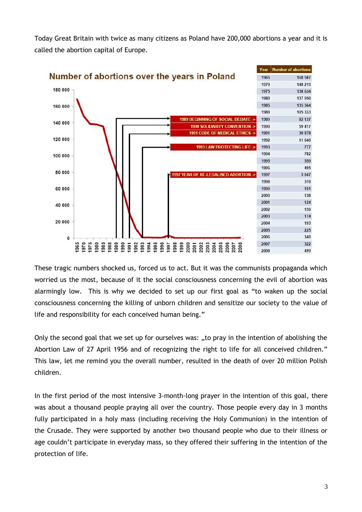Today Great Britain with twice as many citizens as Poland have 200,000 abortions a year and it is called the abortion capital of Europe.



These tragic numbers shocked us, forced us to act. But it was the communists propaganda which worried us the most, because of it the social consciousness concerning the evil of abortion was alarmingly low. This is why we decided to set up our first goal as "to waken up the social consciousness concerning the killing of unborn children and sensitize our society to the value of life and responsibility for each conceived human being."

Only the second goal that we set up for ourselves was: "to pray in the intention of abolishing the Abortion Law of 27 April 1956 and of recognizing the right to life for all conceived children." This law, let me remind you the overall number, resulted in the death of over 20 million Polish children.

In the first period of the most intensive 3-month-long prayer in the intention of this goal, there was about a thousand people praying all over the country. Those people every day in 3 months fully participated in a holy mass (including receiving the Holy Communion) in the intention of the Crusade. They were supported by another two thousand people who due to their illness or age couldn't participate in everyday mass, so they offered their suffering in the intention of the protection of life.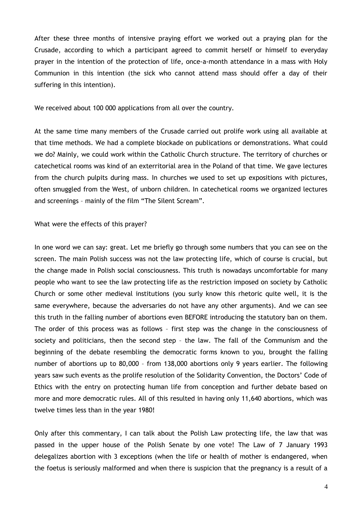After these three months of intensive praying effort we worked out a praying plan for the Crusade, according to which a participant agreed to commit herself or himself to everyday prayer in the intention of the protection of life, once-a-month attendance in a mass with Holy Communion in this intention (the sick who cannot attend mass should offer a day of their suffering in this intention).

We received about 100 000 applications from all over the country.

At the same time many members of the Crusade carried out prolife work using all available at that time methods. We had a complete blockade on publications or demonstrations. What could we do? Mainly, we could work within the Catholic Church structure. The territory of churches or catechetical rooms was kind of an exterritorial area in the Poland of that time. We gave lectures from the church pulpits during mass. In churches we used to set up expositions with pictures, often smuggled from the West, of unborn children. In catechetical rooms we organized lectures and screenings – mainly of the film "The Silent Scream".

What were the effects of this prayer?

In one word we can say: great. Let me briefly go through some numbers that you can see on the screen. The main Polish success was not the law protecting life, which of course is crucial, but the change made in Polish social consciousness. This truth is nowadays uncomfortable for many people who want to see the law protecting life as the restriction imposed on society by Catholic Church or some other medieval institutions (you surly know this rhetoric quite well, it is the same everywhere, because the adversaries do not have any other arguments). And we can see this truth in the falling number of abortions even BEFORE introducing the statutory ban on them. The order of this process was as follows – first step was the change in the consciousness of society and politicians, then the second step – the law. The fall of the Communism and the beginning of the debate resembling the democratic forms known to you, brought the falling number of abortions up to 80,000 – from 138,000 abortions only 9 years earlier. The following years saw such events as the prolife resolution of the Solidarity Convention, the Doctors' Code of Ethics with the entry on protecting human life from conception and further debate based on more and more democratic rules. All of this resulted in having only 11,640 abortions, which was twelve times less than in the year 1980!

Only after this commentary, I can talk about the Polish Law protecting life, the law that was passed in the upper house of the Polish Senate by one vote! The Law of 7 January 1993 delegalizes abortion with 3 exceptions (when the life or health of mother is endangered, when the foetus is seriously malformed and when there is suspicion that the pregnancy is a result of a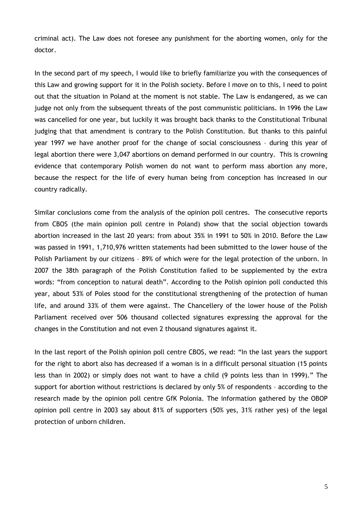criminal act). The Law does not foresee any punishment for the aborting women, only for the doctor.

In the second part of my speech, I would like to briefly familiarize you with the consequences of this Law and growing support for it in the Polish society. Before I move on to this, I need to point out that the situation in Poland at the moment is not stable. The Law is endangered, as we can judge not only from the subsequent threats of the post communistic politicians. In 1996 the Law was cancelled for one year, but luckily it was brought back thanks to the Constitutional Tribunal judging that that amendment is contrary to the Polish Constitution. But thanks to this painful year 1997 we have another proof for the change of social consciousness – during this year of legal abortion there were 3,047 abortions on demand performed in our country. This is crowning evidence that contemporary Polish women do not want to perform mass abortion any more, because the respect for the life of every human being from conception has increased in our country radically.

Similar conclusions come from the analysis of the opinion poll centres. The consecutive reports from CBOS (the main opinion poll centre in Poland) show that the social objection towards abortion increased in the last 20 years: from about 35% in 1991 to 50% in 2010. Before the Law was passed in 1991, 1,710,976 written statements had been submitted to the lower house of the Polish Parliament by our citizens – 89% of which were for the legal protection of the unborn. In 2007 the 38th paragraph of the Polish Constitution failed to be supplemented by the extra words: "from conception to natural death". According to the Polish opinion poll conducted this year, about 53% of Poles stood for the constitutional strengthening of the protection of human life, and around 33% of them were against. The Chancellery of the lower house of the Polish Parliament received over 506 thousand collected signatures expressing the approval for the changes in the Constitution and not even 2 thousand signatures against it.

In the last report of the Polish opinion poll centre CBOS, we read: "In the last years the support for the right to abort also has decreased if a woman is in a difficult personal situation (15 points less than in 2002) or simply does not want to have a child (9 points less than in 1999)." The support for abortion without restrictions is declared by only 5% of respondents – according to the research made by the opinion poll centre GfK Polonia. The information gathered by the OBOP opinion poll centre in 2003 say about 81% of supporters (50% yes, 31% rather yes) of the legal protection of unborn children.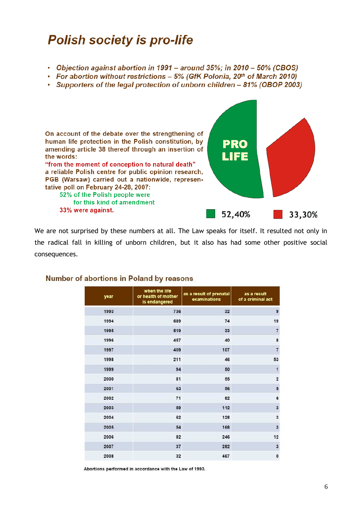# **Polish society is pro-life**

- Objection against abortion in 1991 around 35%; in 2010 50% (CBOS)
- For abortion without restrictions 5% (GfK Polonia, 20th of March 2010)
- Supporters of the legal protection of unborn children 81% (OBOP 2003)



We are not surprised by these numbers at all. The Law speaks for itself. It resulted not only in the radical fall in killing of unborn children, but it also has had some other positive social consequences.

| year | when the life<br>or health of mother<br>is endangered | as a result of prenatal<br>examinations | as a result<br>of a criminal act |
|------|-------------------------------------------------------|-----------------------------------------|----------------------------------|
| 1993 | 736                                                   | 32                                      | 9                                |
| 1994 | 689                                                   | 74                                      | 19                               |
| 1995 | 519                                                   | 33                                      | $\overline{7}$                   |
| 1996 | 457                                                   | 40                                      | 8                                |
| 1997 | 409                                                   | 107                                     | $\overline{7}$                   |
| 1998 | 211                                                   | 46                                      | 53                               |
| 1999 | 94                                                    | 50                                      | $\overline{1}$                   |
| 2000 | 81                                                    | 55                                      | $\overline{2}$                   |
| 2001 | 63                                                    | 56                                      | 5                                |
| 2002 | 71                                                    | 82                                      | 6                                |
| 2003 | 59                                                    | 112                                     | 3                                |
| 2004 | 62                                                    | 128                                     | 3                                |
| 2005 | 54                                                    | 168                                     | 3                                |
| 2006 | 82                                                    | 246                                     | 12                               |
| 2007 | 37                                                    | 282                                     | 3                                |
| 2008 | 32                                                    | 467                                     | $\mathbf{0}$                     |

#### Number of abortions in Poland by reasons

Abortions performed in accordance with the Law of 1993.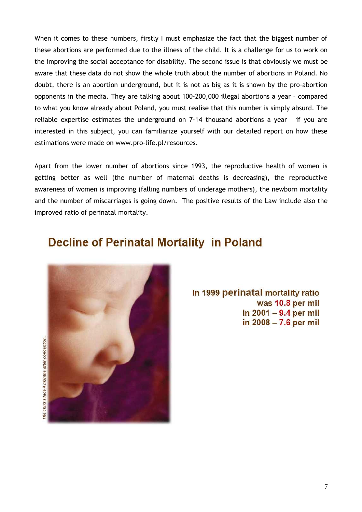When it comes to these numbers, firstly I must emphasize the fact that the biggest number of these abortions are performed due to the illness of the child. It is a challenge for us to work on the improving the social acceptance for disability. The second issue is that obviously we must be aware that these data do not show the whole truth about the number of abortions in Poland. No doubt, there is an abortion underground, but it is not as big as it is shown by the pro-abortion opponents in the media. They are talking about 100-200,000 illegal abortions a year – compared to what you know already about Poland, you must realise that this number is simply absurd. The reliable expertise estimates the underground on 7-14 thousand abortions a year – if you are interested in this subject, you can familiarize yourself with our detailed report on how these estimations were made on www.pro-life.pl/resources.

Apart from the lower number of abortions since 1993, the reproductive health of women is getting better as well (the number of maternal deaths is decreasing), the reproductive awareness of women is improving (falling numbers of underage mothers), the newborn mortality and the number of miscarriages is going down. The positive results of the Law include also the improved ratio of perinatal mortality.

# **Decline of Perinatal Mortality in Poland**



In 1999 perinatal mortality ratio was 10.8 per mil in 2001 - 9.4 per mil in 2008 - 7.6 per mil

The child's face 4 months after conception.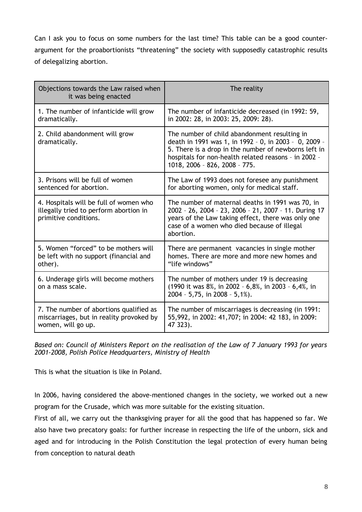Can I ask you to focus on some numbers for the last time? This table can be a good counterargument for the proabortionists "threatening" the society with supposedly catastrophic results of delegalizing abortion.

| Objections towards the Law raised when<br>it was being enacted                                            | The reality                                                                                                                                                                                                                                            |  |
|-----------------------------------------------------------------------------------------------------------|--------------------------------------------------------------------------------------------------------------------------------------------------------------------------------------------------------------------------------------------------------|--|
| 1. The number of infanticide will grow                                                                    | The number of infanticide decreased (in 1992: 59,                                                                                                                                                                                                      |  |
| dramatically.                                                                                             | in 2002: 28, in 2003: 25, 2009: 28).                                                                                                                                                                                                                   |  |
| 2. Child abandonment will grow<br>dramatically.                                                           | The number of child abandonment resulting in<br>death in 1991 was 1, in 1992 - 0, in 2003 - 0, 2009 -<br>5. There is a drop in the number of newborns left in<br>hospitals for non-health related reasons - in 2002 -<br>1018, 2006 - 826, 2008 - 775. |  |
| 3. Prisons will be full of women                                                                          | The Law of 1993 does not foresee any punishment                                                                                                                                                                                                        |  |
| sentenced for abortion.                                                                                   | for aborting women, only for medical staff.                                                                                                                                                                                                            |  |
| 4. Hospitals will be full of women who<br>illegally tried to perform abortion in<br>primitive conditions. | The number of maternal deaths in 1991 was 70, in<br>2002 - 26, 2004 - 23, 2006 - 21, 2007 - 11. During 17<br>years of the Law taking effect, there was only one<br>case of a women who died because of illegal<br>abortion.                            |  |
| 5. Women "forced" to be mothers will                                                                      | There are permanent vacancies in single mother                                                                                                                                                                                                         |  |
| be left with no support (financial and                                                                    | homes. There are more and more new homes and                                                                                                                                                                                                           |  |
| other).                                                                                                   | "life windows"                                                                                                                                                                                                                                         |  |
| 6. Underage girls will become mothers<br>on a mass scale.                                                 | The number of mothers under 19 is decreasing<br>(1990 it was 8%, in 2002 - 6,8%, in 2003 - 6,4%, in<br>$2004 - 5,75$ , in $2008 - 5,1%$ .                                                                                                              |  |
| 7. The number of abortions qualified as                                                                   | The number of miscarriages is decreasing (in 1991:                                                                                                                                                                                                     |  |
| miscarriages, but in reality provoked by                                                                  | 55,992, in 2002: 41,707; in 2004: 42 183, in 2009:                                                                                                                                                                                                     |  |
| women, will go up.                                                                                        | 47 323).                                                                                                                                                                                                                                               |  |

*Based on: Council of Ministers Report on the realisation of the Law of 7 January 1993 for years 2001-2008, Polish Police Headquarters, Ministry of Health*

This is what the situation is like in Poland.

In 2006, having considered the above-mentioned changes in the society, we worked out a new program for the Crusade, which was more suitable for the existing situation.

First of all, we carry out the thanksgiving prayer for all the good that has happened so far. We also have two precatory goals: for further increase in respecting the life of the unborn, sick and aged and for introducing in the Polish Constitution the legal protection of every human being from conception to natural death